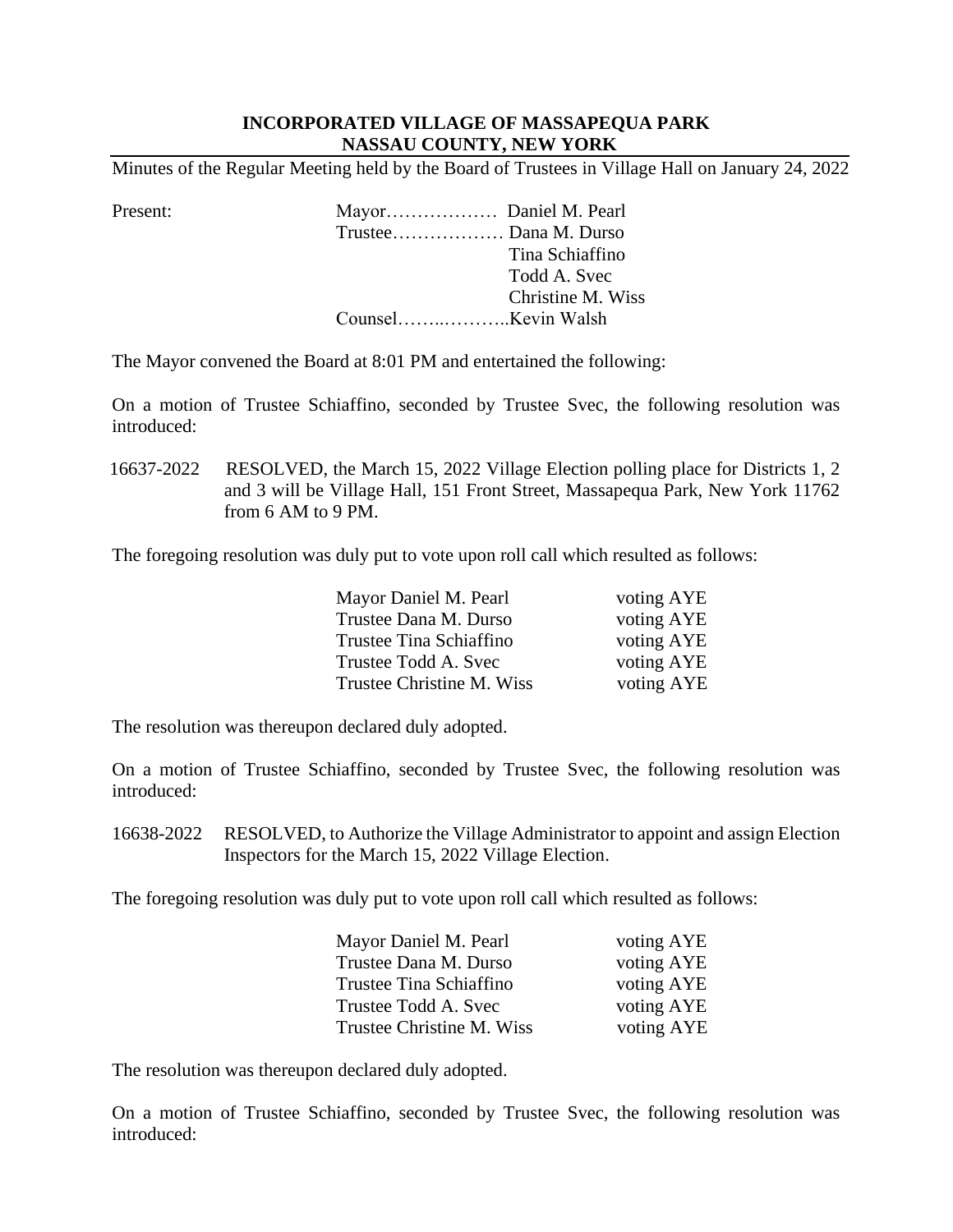## **INCORPORATED VILLAGE OF MASSAPEQUA PARK NASSAU COUNTY, NEW YORK**

Minutes of the Regular Meeting held by the Board of Trustees in Village Hall on January 24, 2022

| Tina Schiaffino   |
|-------------------|
| Todd A. Svec      |
| Christine M. Wiss |
|                   |
|                   |

The Mayor convened the Board at 8:01 PM and entertained the following:

 On a motion of Trustee Schiaffino, seconded by Trustee Svec, the following resolution was introduced:

16637-2022 RESOLVED, the March 15, 2022 Village Election polling place for Districts 1, 2 and 3 will be Village Hall, 151 Front Street, Massapequa Park, New York 11762 from 6 AM to 9 PM.

The foregoing resolution was duly put to vote upon roll call which resulted as follows:

| Mayor Daniel M. Pearl     | voting AYE |
|---------------------------|------------|
| Trustee Dana M. Durso     | voting AYE |
| Trustee Tina Schiaffino   | voting AYE |
| Trustee Todd A. Svec      | voting AYE |
| Trustee Christine M. Wiss | voting AYE |

The resolution was thereupon declared duly adopted.

 On a motion of Trustee Schiaffino, seconded by Trustee Svec, the following resolution was introduced:

16638-2022 RESOLVED, to Authorize the Village Administrator to appoint and assign Election Inspectors for the March 15, 2022 Village Election.

The foregoing resolution was duly put to vote upon roll call which resulted as follows:

| Mayor Daniel M. Pearl     | voting AYE |
|---------------------------|------------|
| Trustee Dana M. Durso     | voting AYE |
| Trustee Tina Schiaffino   | voting AYE |
| Trustee Todd A. Svec      | voting AYE |
| Trustee Christine M. Wiss | voting AYE |

The resolution was thereupon declared duly adopted.

 On a motion of Trustee Schiaffino, seconded by Trustee Svec, the following resolution was introduced: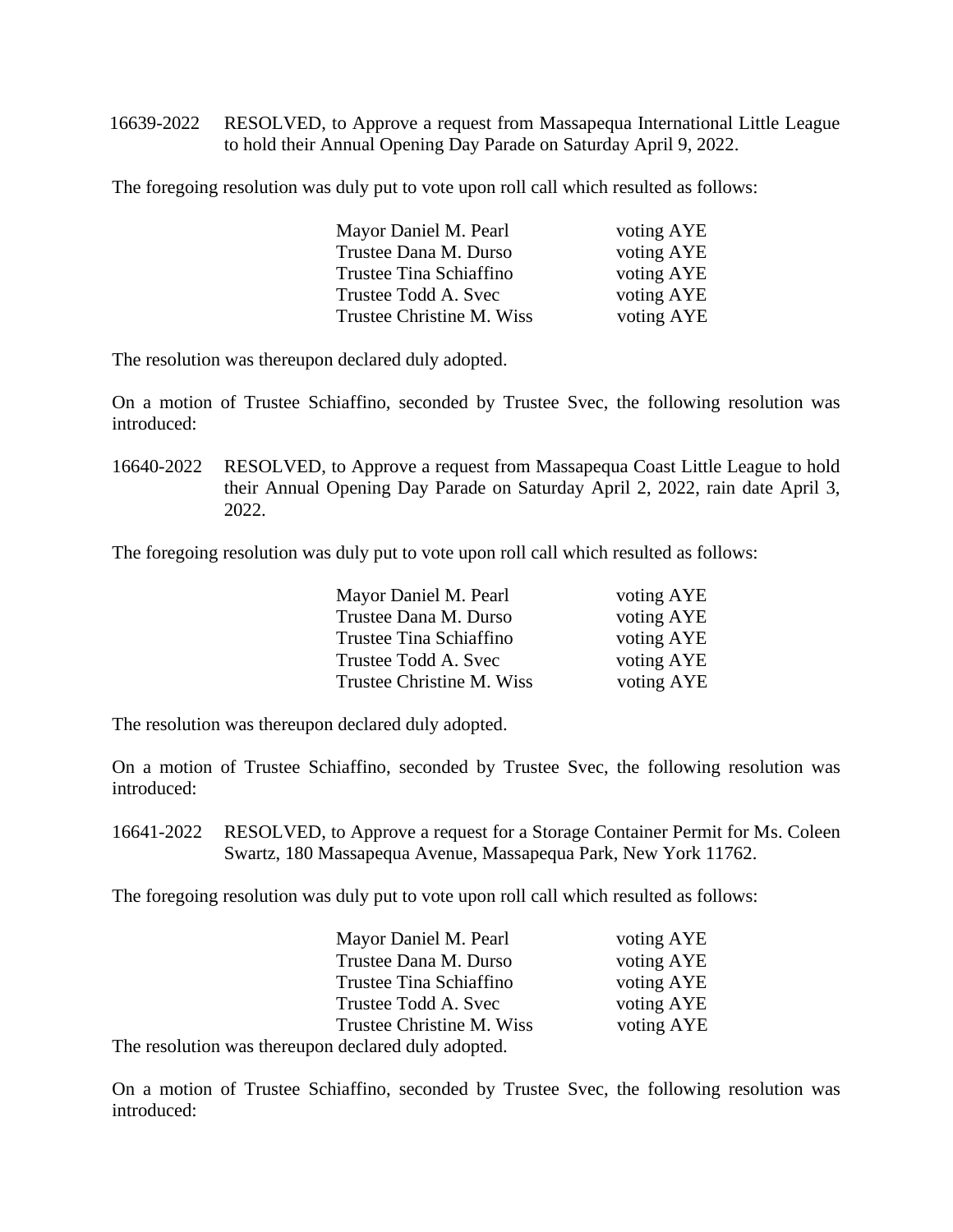16639-2022 RESOLVED, to Approve a request from Massapequa International Little League to hold their Annual Opening Day Parade on Saturday April 9, 2022.

The foregoing resolution was duly put to vote upon roll call which resulted as follows:

| Mayor Daniel M. Pearl     | voting AYE |
|---------------------------|------------|
| Trustee Dana M. Durso     | voting AYE |
| Trustee Tina Schiaffino   | voting AYE |
| Trustee Todd A. Svec      | voting AYE |
| Trustee Christine M. Wiss | voting AYE |

The resolution was thereupon declared duly adopted.

 On a motion of Trustee Schiaffino, seconded by Trustee Svec, the following resolution was introduced:

 16640-2022 RESOLVED, to Approve a request from Massapequa Coast Little League to hold their Annual Opening Day Parade on Saturday April 2, 2022, rain date April 3, 2022.

The foregoing resolution was duly put to vote upon roll call which resulted as follows:

| Mayor Daniel M. Pearl     | voting AYE |
|---------------------------|------------|
| Trustee Dana M. Durso     | voting AYE |
| Trustee Tina Schiaffino   | voting AYE |
| Trustee Todd A. Svec      | voting AYE |
| Trustee Christine M. Wiss | voting AYE |

The resolution was thereupon declared duly adopted.

On a motion of Trustee Schiaffino, seconded by Trustee Svec, the following resolution was introduced:

16641-2022 RESOLVED, to Approve a request for a Storage Container Permit for Ms. Coleen Swartz, 180 Massapequa Avenue, Massapequa Park, New York 11762.

The foregoing resolution was duly put to vote upon roll call which resulted as follows:

|                                                     | Mayor Daniel M. Pearl     | voting AYE |
|-----------------------------------------------------|---------------------------|------------|
|                                                     | Trustee Dana M. Durso     | voting AYE |
|                                                     | Trustee Tina Schiaffino   | voting AYE |
|                                                     | Trustee Todd A. Svec      | voting AYE |
|                                                     | Trustee Christine M. Wiss | voting AYE |
| The resolution was thereupon declared duly adopted. |                           |            |

On a motion of Trustee Schiaffino, seconded by Trustee Svec, the following resolution was introduced: